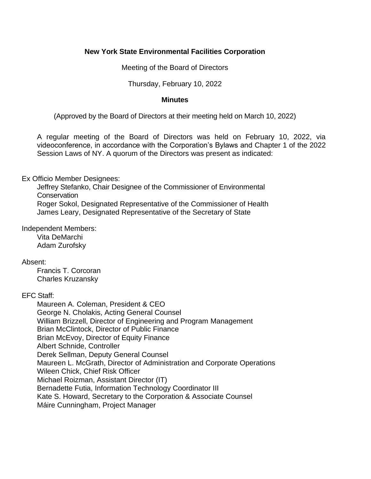## **New York State Environmental Facilities Corporation**

Meeting of the Board of Directors

Thursday, February 10, 2022

### **Minutes**

(Approved by the Board of Directors at their meeting held on March 10, 2022)

 A regular meeting of the Board of Directors was held on February 10, 2022, via videoconference, in accordance with the Corporation's Bylaws and Chapter 1 of the 2022 Session Laws of NY. A quorum of the Directors was present as indicated:

# Ex Officio Member Designees:

 Jeffrey Stefanko, Chair Designee of the Commissioner of Environmental **Conservation** Roger Sokol, Designated Representative of the Commissioner of Health

James Leary, Designated Representative of the Secretary of State

Independent Members:

Vita DeMarchi Adam Zurofsky

# Absent:

Francis T. Corcoran Charles Kruzansky

# EFC Staff:

 William Brizzell, Director of Engineering and Program Management Maureen A. Coleman, President & CEO George N. Cholakis, Acting General Counsel Brian McClintock, Director of Public Finance Brian McEvoy, Director of Equity Finance Albert Schnide, Controller Derek Sellman, Deputy General Counsel Maureen L. McGrath, Director of Administration and Corporate Operations Wileen Chick, Chief Risk Officer Michael Roizman, Assistant Director (IT) Bernadette Futia, Information Technology Coordinator III Kate S. Howard, Secretary to the Corporation & Associate Counsel Máire Cunningham, Project Manager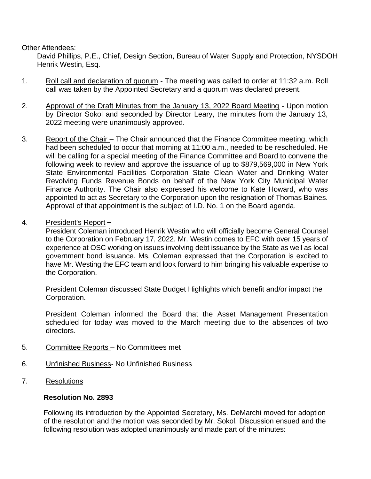Other Attendees:

 David Phillips, P.E., Chief, Design Section, Bureau of Water Supply and Protection, NYSDOH Henrik Westin, Esq.

- 1. Roll call and declaration of quorum The meeting was called to order at 11:32 a.m. Roll call was taken by the Appointed Secretary and a quorum was declared present.
- 2. Approval of the Draft Minutes from the January 13, 2022 Board Meeting Upon motion by Director Sokol and seconded by Director Leary, the minutes from the January 13, 2022 meeting were unanimously approved.
- 3. Report of the Chair The Chair announced that the Finance Committee meeting, which following week to review and approve the issuance of up to \$879,569,000 in New York State Environmental Facilities Corporation State Clean Water and Drinking Water Revolving Funds Revenue Bonds on behalf of the New York City Municipal Water Finance Authority. The Chair also expressed his welcome to Kate Howard, who was appointed to act as Secretary to the Corporation upon the resignation of Thomas Baines. Approval of that appointment is the subject of I.D. No. 1 on the Board agenda. had been scheduled to occur that morning at 11:00 a.m., needed to be rescheduled. He will be calling for a special meeting of the Finance Committee and Board to convene the
- 4. President's Report –

 President Coleman introduced Henrik Westin who will officially become General Counsel experience at OSC working on issues involving debt issuance by the State as well as local government bond issuance. Ms. Coleman expressed that the Corporation is excited to have Mr. Westing the EFC team and look forward to him bringing his valuable expertise to to the Corporation on February 17, 2022. Mr. Westin comes to EFC with over 15 years of the Corporation.

President Coleman discussed State Budget Highlights which benefit and/or impact the Corporation.

 President Coleman informed the Board that the Asset Management Presentation scheduled for today was moved to the March meeting due to the absences of two directors.

- 5. Committee Reports No Committees met
- 6. Unfinished Business- No Unfinished Business
- 7. Resolutions

## **Resolution No. 2893**

 Following its introduction by the Appointed Secretary, Ms. DeMarchi moved for adoption of the resolution and the motion was seconded by Mr. Sokol. Discussion ensued and the following resolution was adopted unanimously and made part of the minutes: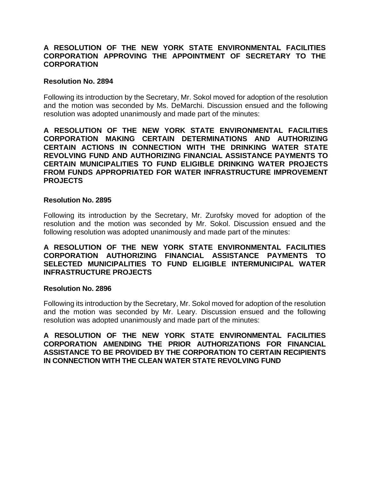## **A RESOLUTION OF THE NEW YORK STATE ENVIRONMENTAL FACILITIES CORPORATION APPROVING THE APPOINTMENT OF SECRETARY TO THE CORPORATION**

#### **Resolution No. 2894**

 Following its introduction by the Secretary, Mr. Sokol moved for adoption of the resolution and the motion was seconded by Ms. DeMarchi. Discussion ensued and the following resolution was adopted unanimously and made part of the minutes:

 **A RESOLUTION OF THE NEW YORK STATE ENVIRONMENTAL FACILITIES REVOLVING FUND AND AUTHORIZING FINANCIAL ASSISTANCE PAYMENTS TO CERTAIN MUNICIPALITIES TO FUND ELIGIBLE DRINKING WATER PROJECTS CORPORATION MAKING CERTAIN DETERMINATIONS AND AUTHORIZING CERTAIN ACTIONS IN CONNECTION WITH THE DRINKING WATER STATE FROM FUNDS APPROPRIATED FOR WATER INFRASTRUCTURE IMPROVEMENT PROJECTS** 

## **Resolution No. 2895**

 Following its introduction by the Secretary, Mr. Zurofsky moved for adoption of the resolution and the motion was seconded by Mr. Sokol. Discussion ensued and the following resolution was adopted unanimously and made part of the minutes:

## **A RESOLUTION OF THE NEW YORK STATE ENVIRONMENTAL FACILITIES CORPORATION AUTHORIZING FINANCIAL ASSISTANCE PAYMENTS TO SELECTED MUNICIPALITIES TO FUND ELIGIBLE INTERMUNICIPAL WATER INFRASTRUCTURE PROJECTS**

#### **Resolution No. 2896**

 Following its introduction by the Secretary, Mr. Sokol moved for adoption of the resolution and the motion was seconded by Mr. Leary. Discussion ensued and the following resolution was adopted unanimously and made part of the minutes:

## **A RESOLUTION OF THE NEW YORK STATE ENVIRONMENTAL FACILITIES CORPORATION AMENDING THE PRIOR AUTHORIZATIONS FOR FINANCIAL ASSISTANCE TO BE PROVIDED BY THE CORPORATION TO CERTAIN RECIPIENTS IN CONNECTION WITH THE CLEAN WATER STATE REVOLVING FUND**